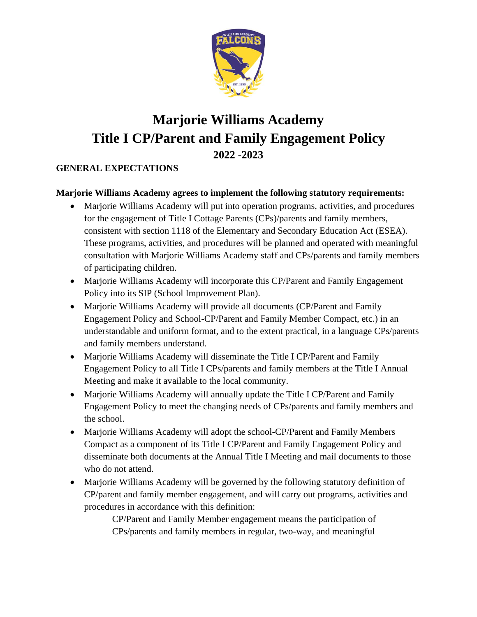

# **Marjorie Williams Academy Title I CP/Parent and Family Engagement Policy 2022 -2023**

#### **GENERAL EXPECTATIONS**

#### **Marjorie Williams Academy agrees to implement the following statutory requirements:**

- Marjorie Williams Academy will put into operation programs, activities, and procedures for the engagement of Title I Cottage Parents (CPs)/parents and family members, consistent with section 1118 of the Elementary and Secondary Education Act (ESEA). These programs, activities, and procedures will be planned and operated with meaningful consultation with Marjorie Williams Academy staff and CPs/parents and family members of participating children.
- Marjorie Williams Academy will incorporate this CP/Parent and Family Engagement Policy into its SIP (School Improvement Plan).
- Marjorie Williams Academy will provide all documents (CP/Parent and Family Engagement Policy and School-CP/Parent and Family Member Compact, etc.) in an understandable and uniform format, and to the extent practical, in a language CPs/parents and family members understand.
- Marjorie Williams Academy will disseminate the Title I CP/Parent and Family Engagement Policy to all Title I CPs/parents and family members at the Title I Annual Meeting and make it available to the local community.
- Marjorie Williams Academy will annually update the Title I CP/Parent and Family Engagement Policy to meet the changing needs of CPs/parents and family members and the school.
- Marjorie Williams Academy will adopt the school-CP/Parent and Family Members Compact as a component of its Title I CP/Parent and Family Engagement Policy and disseminate both documents at the Annual Title I Meeting and mail documents to those who do not attend.
- Marjorie Williams Academy will be governed by the following statutory definition of CP/parent and family member engagement, and will carry out programs, activities and procedures in accordance with this definition:

CP/Parent and Family Member engagement means the participation of CPs/parents and family members in regular, two-way, and meaningful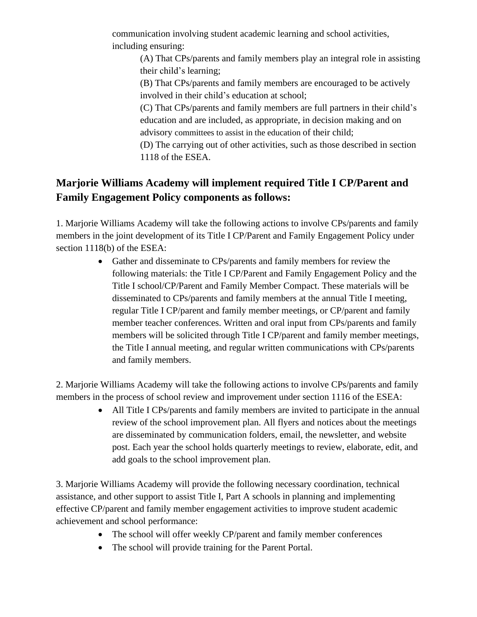communication involving student academic learning and school activities, including ensuring:

(A) That CPs/parents and family members play an integral role in assisting their child's learning;

(B) That CPs/parents and family members are encouraged to be actively involved in their child's education at school;

(C) That CPs/parents and family members are full partners in their child's education and are included, as appropriate, in decision making and on advisory committees to assist in the education of their child;

(D) The carrying out of other activities, such as those described in section 1118 of the ESEA.

## **Marjorie Williams Academy will implement required Title I CP/Parent and Family Engagement Policy components as follows:**

1. Marjorie Williams Academy will take the following actions to involve CPs/parents and family members in the joint development of its Title I CP/Parent and Family Engagement Policy under section 1118(b) of the ESEA:

> • Gather and disseminate to CPs/parents and family members for review the following materials: the Title I CP/Parent and Family Engagement Policy and the Title I school/CP/Parent and Family Member Compact. These materials will be disseminated to CPs/parents and family members at the annual Title I meeting, regular Title I CP/parent and family member meetings, or CP/parent and family member teacher conferences. Written and oral input from CPs/parents and family members will be solicited through Title I CP/parent and family member meetings, the Title I annual meeting, and regular written communications with CPs/parents and family members.

2. Marjorie Williams Academy will take the following actions to involve CPs/parents and family members in the process of school review and improvement under section 1116 of the ESEA:

> • All Title I CPs/parents and family members are invited to participate in the annual review of the school improvement plan. All flyers and notices about the meetings are disseminated by communication folders, email, the newsletter, and website post. Each year the school holds quarterly meetings to review, elaborate, edit, and add goals to the school improvement plan.

3. Marjorie Williams Academy will provide the following necessary coordination, technical assistance, and other support to assist Title I, Part A schools in planning and implementing effective CP/parent and family member engagement activities to improve student academic achievement and school performance:

- The school will offer weekly CP/parent and family member conferences
- The school will provide training for the Parent Portal.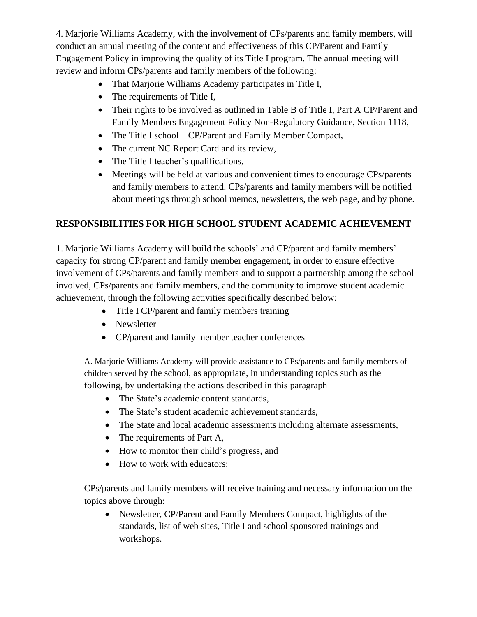4. Marjorie Williams Academy, with the involvement of CPs/parents and family members, will conduct an annual meeting of the content and effectiveness of this CP/Parent and Family Engagement Policy in improving the quality of its Title I program. The annual meeting will review and inform CPs/parents and family members of the following:

- That Marjorie Williams Academy participates in Title I,
- The requirements of Title I,
- Their rights to be involved as outlined in Table B of Title I, Part A CP/Parent and Family Members Engagement Policy Non-Regulatory Guidance, Section 1118,
- The Title I school—CP/Parent and Family Member Compact,
- The current NC Report Card and its review,
- The Title I teacher's qualifications,
- Meetings will be held at various and convenient times to encourage CPs/parents and family members to attend. CPs/parents and family members will be notified about meetings through school memos, newsletters, the web page, and by phone.

### **RESPONSIBILITIES FOR HIGH SCHOOL STUDENT ACADEMIC ACHIEVEMENT**

1. Marjorie Williams Academy will build the schools' and CP/parent and family members' capacity for strong CP/parent and family member engagement, in order to ensure effective involvement of CPs/parents and family members and to support a partnership among the school involved, CPs/parents and family members, and the community to improve student academic achievement, through the following activities specifically described below:

- Title I CP/parent and family members training
- Newsletter
- CP/parent and family member teacher conferences

A. Marjorie Williams Academy will provide assistance to CPs/parents and family members of children served by the school, as appropriate, in understanding topics such as the following, by undertaking the actions described in this paragraph –

- The State's academic content standards,
- The State's student academic achievement standards,
- The State and local academic assessments including alternate assessments,
- The requirements of Part A,
- How to monitor their child's progress, and
- How to work with educators:

CPs/parents and family members will receive training and necessary information on the topics above through:

• Newsletter, CP/Parent and Family Members Compact, highlights of the standards, list of web sites, Title I and school sponsored trainings and workshops.